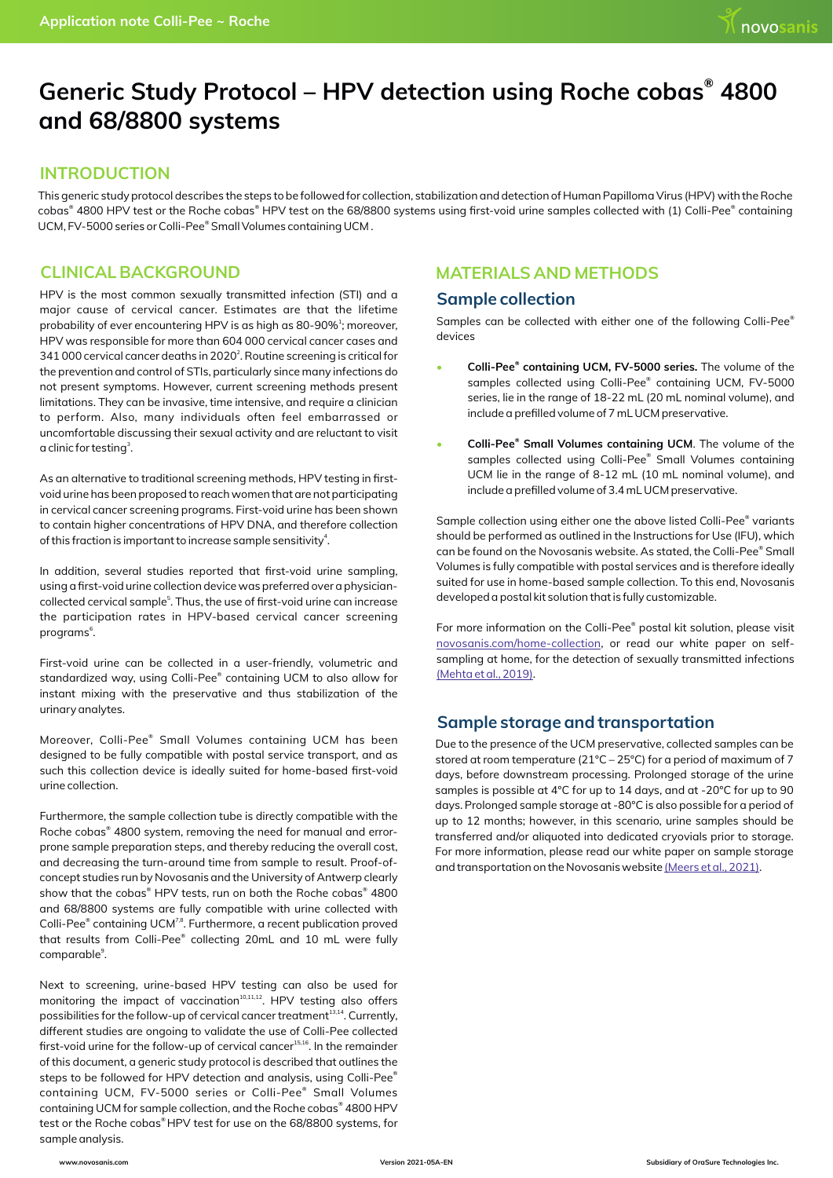# Generic Study Protocol - HPV detection using Roche cobas<sup>®</sup> 4800 **and 68/8800 systems**

#### **INTRODUCTION**

This generic study protocol describes the steps to be followed for collection, stabilization and detection of Human Papilloma Virus (HPV) with the Roche cobas® 4800 HPV test or the Roche cobas® HPV test on the 68/8800 systems using first-void urine samples collected with (1) Colli-Pee® containing UCM, FV-5000 series or Colli-Pee® Small Volumes containing UCM.

### **CLINICAL BACKGROUND**

HPV is the most common sexually transmitted infection (STI) and a major cause of cervical cancer. Estimates are that the lifetime probability of ever encountering HPV is as high as 80-90%<sup>1</sup>; moreover, HPV was responsible for more than 604 000 cervical cancer cases and 341 000 cervical cancer deaths in 2020<sup>2</sup>. Routine screening is critical for the prevention and control of STIs, particularly since many infections do not present symptoms. However, current screening methods present limitations. They can be invasive, time intensive, and require a clinician to perform. Also, many individuals often feel embarrassed or uncomfortable discussing their sexual activity and are reluctant to visit a clinic for testing<sup>3</sup>.

As an alternative to traditional screening methods, HPV testing in firstvoid urine has been proposed to reach women that are not participating in cervical cancer screening programs. First-void urine has been shown to contain higher concentrations of HPV DNA, and therefore collection of this fraction is important to increase sample sensitivity $4$ .

In addition, several studies reported that first-void urine sampling, using a first-void urine collection device was preferred over a physiciancollected cervical sample<sup>5</sup>. Thus, the use of first-void urine can increase the participation rates in HPV-based cervical cancer screening programs<sup>6</sup>.

First-void urine can be collected in a user-friendly, volumetric and standardized way, using Colli-Pee® containing UCM to also allow for instant mixing with the preservative and thus stabilization of the urinary analytes.

Moreover, Colli-Pee® Small Volumes containing UCM has been designed to be fully compatible with postal service transport, and as such this collection device is ideally suited for home-based first-void urine collection.

Furthermore, the sample collection tube is directly compatible with the Roche cobas<sup>®</sup> 4800 system, removing the need for manual and errorprone sample preparation steps, and thereby reducing the overall cost, and decreasing the turn-around time from sample to result. Proof-ofconcept studies run by Novosanis and the University of Antwerp clearly show that the cobas $^\circ$  HPV tests, run on both the Roche cobas $^\circ$  4800 and 68/8800 systems are fully compatible with urine collected with Colli-Pee® containing UCM<sup>7,8</sup>. Furthermore, a recent publication proved that results from Colli-Pee® collecting 20mL and 10 mL were fully comparable<sup>9</sup>.

Next to screening, urine-based HPV testing can also be used for monitoring the impact of vaccination<sup>10,11,12</sup>. HPV testing also offers possibilities for the follow-up of cervical cancer treatment<sup>13,14</sup>. Currently, different studies are ongoing to validate the use of Colli-Pee collected first-void urine for the follow-up of cervical cancer<sup>15,16</sup>. In the remainder of this document, a generic study protocol is described that outlines the steps to be followed for HPV detection and analysis, using Colli-Pee $^\mathrm{e}$ containing UCM, FV-5000 series or Colli-Pee® Small Volumes containing UCM for sample collection, and the Roche cobas® 4800 HPV test or the Roche cobas® HPV test for use on the 68/8800 systems, for sample analysis.

## **MATERIALS AND METHODS**

#### **Sample collection**

Samples can be collected with either one of the following Colli-Pee<sup>®</sup> devices

- **® Colli-Pee containing UCM, FV-5000 series.** The volume of the samples collected using Colli-Pee® containing UCM, FV-5000 series, lie in the range of 18-22 mL (20 mL nominal volume), and include a prefilled volume of 7 mL UCM preservative.
- **® Colli-Pee Small Volumes containing UCM**. The volume of the samples collected using Colli-Pee® Small Volumes containing UCM lie in the range of 8-12 mL (10 mL nominal volume), and include a prefilled volume of 3.4 mL UCM preservative.

Sample collection using either one the above listed Colli-Pee® variants should be performed as outlined in the Instructions for Use (IFU), which can be found on the Novosanis website. As stated, the Colli-Pee® Small Volumes is fully compatible with postal services and is therefore ideally suited for use in home-based sample collection. To this end, Novosanis developed a postal kit solution that is fully customizable.

For more information on the Colli-Pee® postal kit solution, please visit [novosanis.com/home-collection](https://novosanis.com/home-collection), or read our white paper on selfsampling at home, for the detection of sexually transmitted infections [\(Mehta et al., 2019\).](https://novosanis.com/sites/default/files/poster/pdf/Urine%20collected%20through%20Colli-Pee%20offers%20potential%20for%20self-sampling%20at%20home%20for%20detection%20of%20STIs_version2019-07B.pdf)

## **Sample storage and transportation**

Due to the presence of the UCM preservative, collected samples can be stored at room temperature (21°C – 25°C) for a period of maximum of 7 days, before downstream processing. Prolonged storage of the urine samples is possible at 4°C for up to 14 days, and at -20°C for up to 90 days. Prolonged sample storage at -80°C is also possible for a period of up to 12 months; however, in this scenario, urine samples should be transferred and/or aliquoted into dedicated cryovials prior to storage. For more information, please read our white paper on sample storage and transportation on the Novosanis website [\(Meers et al., 2021\)](https://novosanis.com/sites/default/files/poster/pdf/Storage%20and%20transport%20recommendations%20for%20first-void%20urine%20samples.pdf).